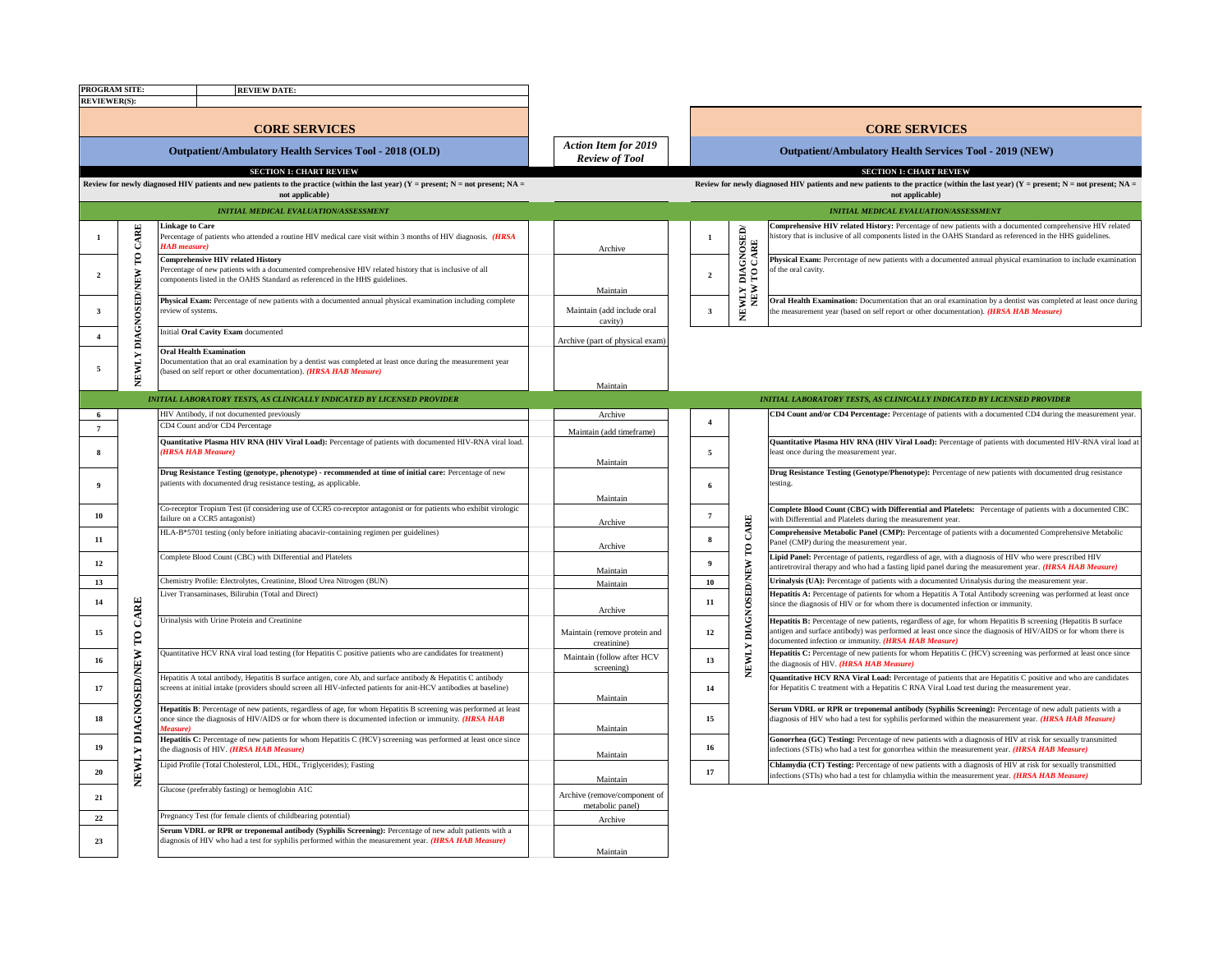| PROGRAM SITE:                                                                                                                                               |                        |                        | <b>REVIEW DATE:</b>                                                                                                                                                                                                                |                                                                                                                                                             |                         |                          |                                                                                                                                                                                                                     |  |  |  |
|-------------------------------------------------------------------------------------------------------------------------------------------------------------|------------------------|------------------------|------------------------------------------------------------------------------------------------------------------------------------------------------------------------------------------------------------------------------------|-------------------------------------------------------------------------------------------------------------------------------------------------------------|-------------------------|--------------------------|---------------------------------------------------------------------------------------------------------------------------------------------------------------------------------------------------------------------|--|--|--|
| <b>REVIEWER(S):</b>                                                                                                                                         |                        |                        |                                                                                                                                                                                                                                    |                                                                                                                                                             |                         |                          |                                                                                                                                                                                                                     |  |  |  |
| <b>CORE SERVICES</b>                                                                                                                                        |                        |                        |                                                                                                                                                                                                                                    | <b>CORE SERVICES</b>                                                                                                                                        |                         |                          |                                                                                                                                                                                                                     |  |  |  |
|                                                                                                                                                             |                        |                        | <b>Outpatient/Ambulatory Health Services Tool - 2018 (OLD)</b>                                                                                                                                                                     | <b>Action Item for 2019</b><br><b>Review of Tool</b>                                                                                                        |                         |                          | <b>Outpatient/Ambulatory Health Services Tool - 2019 (NEW)</b>                                                                                                                                                      |  |  |  |
|                                                                                                                                                             |                        |                        | <b>SECTION 1: CHART REVIEW</b>                                                                                                                                                                                                     |                                                                                                                                                             |                         |                          | <b>SECTION 1: CHART REVIEW</b>                                                                                                                                                                                      |  |  |  |
| Review for newly diagnosed HIV patients and new patients to the practice (within the last year) $(Y = present; N = not present; NA = 1)$<br>not applicable) |                        |                        |                                                                                                                                                                                                                                    | Review for newly diagnosed HIV patients and new patients to the practice (within the last year) $(Y = present; N = not present; NA = 1)$<br>not applicable) |                         |                          |                                                                                                                                                                                                                     |  |  |  |
|                                                                                                                                                             |                        |                        | INITIAL MEDICAL EVALUATION/ASSESSMENT                                                                                                                                                                                              |                                                                                                                                                             |                         |                          | INITIAL MEDICAL EVALUATION/ASSESSMENT                                                                                                                                                                               |  |  |  |
|                                                                                                                                                             |                        | <b>Linkage to Care</b> |                                                                                                                                                                                                                                    |                                                                                                                                                             |                         |                          | Comprehensive HIV related History: Percentage of new patients with a documented comprehensive HIV related                                                                                                           |  |  |  |
|                                                                                                                                                             | <b>CARE</b>            | <b>HAR</b> measure)    | Percentage of patients who attended a routine HIV medical care visit within 3 months of HIV diagnosis. (HRSA                                                                                                                       | Archive                                                                                                                                                     | $\mathbf{1}$            | DIAGNOSED/<br>븮          | istory that is inclusive of all components listed in the OAHS Standard as referenced in the HHS guidelines.                                                                                                         |  |  |  |
|                                                                                                                                                             |                        |                        | <b>Comprehensive HIV related History</b><br>Percentage of new patients with a documented comprehensive HIV related history that is inclusive of all                                                                                |                                                                                                                                                             |                         | $\overline{\mathcal{E}}$ | Physical Exam: Percentage of new patients with a documented annual physical examination to include examination<br>of the oral cavity                                                                                |  |  |  |
| $\overline{2}$                                                                                                                                              |                        |                        | components listed in the OAHS Standard as referenced in the HHS guidelines.                                                                                                                                                        | Maintain                                                                                                                                                    | $\overline{2}$          | $\mathbf{c}$             |                                                                                                                                                                                                                     |  |  |  |
|                                                                                                                                                             |                        |                        | Physical Exam: Percentage of new patients with a documented annual physical examination including complete                                                                                                                         |                                                                                                                                                             |                         |                          | Oral Health Examination: Documentation that an oral examination by a dentist was completed at least once during                                                                                                     |  |  |  |
| $\overline{\mathbf{3}}$                                                                                                                                     | DIAGNOSED/NEW TO       | review of systems.     |                                                                                                                                                                                                                                    | Maintain (add include oral<br>cavity)                                                                                                                       | $\overline{\mathbf{3}}$ | NEWLY I                  | the measurement year (based on self report or other documentation). (HRSA HAB Measure)                                                                                                                              |  |  |  |
| $\overline{\mathbf{4}}$                                                                                                                                     |                        |                        | Initial Oral Cavity Exam documented                                                                                                                                                                                                | Archive (part of physical exam)                                                                                                                             |                         |                          |                                                                                                                                                                                                                     |  |  |  |
|                                                                                                                                                             |                        |                        | <b>Oral Health Examination</b>                                                                                                                                                                                                     |                                                                                                                                                             |                         |                          |                                                                                                                                                                                                                     |  |  |  |
| 5                                                                                                                                                           | <b>NEWLY</b>           |                        | Documentation that an oral examination by a dentist was completed at least once during the measurement year                                                                                                                        |                                                                                                                                                             |                         |                          |                                                                                                                                                                                                                     |  |  |  |
|                                                                                                                                                             |                        |                        | based on self report or other documentation). (HRSA HAB Measure)                                                                                                                                                                   |                                                                                                                                                             |                         |                          |                                                                                                                                                                                                                     |  |  |  |
|                                                                                                                                                             |                        |                        | INITIAL LABORATORY TESTS, AS CLINICALLY INDICATED BY LICENSED PROVIDER                                                                                                                                                             | Maintain                                                                                                                                                    |                         |                          | INITIAL LABORATORY TESTS, AS CLINICALLY INDICATED BY LICENSED PROVIDER                                                                                                                                              |  |  |  |
|                                                                                                                                                             |                        |                        |                                                                                                                                                                                                                                    |                                                                                                                                                             |                         |                          |                                                                                                                                                                                                                     |  |  |  |
| 6                                                                                                                                                           |                        |                        | HIV Antibody, if not documented previously<br>CD4 Count and/or CD4 Percentage                                                                                                                                                      | Archive                                                                                                                                                     | $\overline{4}$          |                          | CD4 Count and/or CD4 Percentage: Percentage of patients with a documented CD4 during the measurement year.                                                                                                          |  |  |  |
| $\overline{7}$                                                                                                                                              |                        |                        |                                                                                                                                                                                                                                    | Maintain (add timeframe)                                                                                                                                    |                         |                          |                                                                                                                                                                                                                     |  |  |  |
| 8                                                                                                                                                           |                        | (HRSA HAB Measure)     | Quantitative Plasma HIV RNA (HIV Viral Load): Percentage of patients with documented HIV-RNA viral load.                                                                                                                           | Maintain                                                                                                                                                    | 5                       |                          | Quantitative Plasma HIV RNA (HIV Viral Load): Percentage of patients with documented HIV-RNA viral load at<br>least once during the measurement year.                                                               |  |  |  |
|                                                                                                                                                             |                        |                        | Drug Resistance Testing (genotype, phenotype) - recommended at time of initial care: Percentage of new                                                                                                                             |                                                                                                                                                             |                         |                          | Drug Resistance Testing (Genotype/Phenotype): Percentage of new patients with documented drug resistance                                                                                                            |  |  |  |
| $\boldsymbol{9}$                                                                                                                                            |                        |                        | patients with documented drug resistance testing, as applicable.                                                                                                                                                                   |                                                                                                                                                             | 6                       |                          | testing.                                                                                                                                                                                                            |  |  |  |
|                                                                                                                                                             |                        |                        |                                                                                                                                                                                                                                    | Maintain                                                                                                                                                    |                         |                          |                                                                                                                                                                                                                     |  |  |  |
| 10                                                                                                                                                          |                        |                        | Co-receptor Tropism Test (if considering use of CCR5 co-receptor antagonist or for patients who exhibit virologic<br>failure on a CCR5 antagonist)                                                                                 | Archive                                                                                                                                                     | $7\phantom{.0}$         | CARE                     | Complete Blood Count (CBC) with Differential and Platelets: Percentage of patients with a documented CBC<br>with Differential and Platelets during the measurement year.                                            |  |  |  |
| 11                                                                                                                                                          |                        |                        | HLA-B*5701 testing (only before initiating abacavir-containing regimen per guidelines)                                                                                                                                             | Archive                                                                                                                                                     | ${\bf 8}$               | $_{\rm r}$               | Comprehensive Metabolic Panel (CMP): Percentage of patients with a documented Comprehensive Metabolic<br>Panel (CMP) during the measurement year.                                                                   |  |  |  |
| $12\,$                                                                                                                                                      |                        |                        | Complete Blood Count (CBC) with Differential and Platelets                                                                                                                                                                         | Maintain                                                                                                                                                    | $\overline{9}$          |                          | Lipid Panel: Percentage of patients, regardless of age, with a diagnosis of HIV who were prescribed HIV<br>antiretroviral therapy and who had a fasting lipid panel during the measurement year. (HRSA HAB Measure) |  |  |  |
| 13                                                                                                                                                          |                        |                        | Chemistry Profile: Electrolytes, Creatinine, Blood Urea Nitrogen (BUN)                                                                                                                                                             | Maintain                                                                                                                                                    | 10                      |                          | Urinalysis (UA): Percentage of patients with a documented Urinalysis during the measurement year.                                                                                                                   |  |  |  |
| 14                                                                                                                                                          | CARE                   |                        | Liver Transaminases, Bilirubin (Total and Direct)                                                                                                                                                                                  | Archive                                                                                                                                                     | 11                      | <b>DIAGNOSED/NEW</b>     | Hepatitis A: Percentage of patients for whom a Hepatitis A Total Antibody screening was performed at least once<br>since the diagnosis of HIV or for whom there is documented infection or immunity.                |  |  |  |
|                                                                                                                                                             |                        |                        | Urinalysis with Urine Protein and Creatinine                                                                                                                                                                                       |                                                                                                                                                             |                         |                          | Hepatitis B: Percentage of new patients, regardless of age, for whom Hepatitis B screening (Hepatitis B surface                                                                                                     |  |  |  |
| 15                                                                                                                                                          |                        |                        |                                                                                                                                                                                                                                    | Maintain (remove protein and<br>creatinine)                                                                                                                 | 12                      |                          | antigen and surface antibody) was performed at least once since the diagnosis of HIV/AIDS or for whom there is<br>documented infection or immunity. (HRSA HAB Measure)                                              |  |  |  |
| 16                                                                                                                                                          |                        |                        | Quantitative HCV RNA viral load testing (for Hepatitis C positive patients who are candidates for treatment)                                                                                                                       | Maintain (follow after HCV<br>screening)                                                                                                                    | 13                      | <b>NEWLY</b>             | Hepatitis C: Percentage of new patients for whom Hepatitis C (HCV) screening was performed at least once since<br>he diagnosis of HIV. (HRSA HAB Measure)                                                           |  |  |  |
| 17                                                                                                                                                          |                        |                        | Hepatitis A total antibody, Hepatitis B surface antigen, core Ab, and surface antibody & Hepatitis C antibody<br>screens at initial intake (providers should screen all HIV-infected patients for anit-HCV antibodies at baseline) | Maintain                                                                                                                                                    | 14                      |                          | Quantitative HCV RNA Viral Load: Percentage of patients that are Hepatitis C positive and who are candidates<br>for Hepatitis C treatment with a Hepatitis C RNA Viral Load test during the measurement year.       |  |  |  |
| 18                                                                                                                                                          | NEWLY DIAGNOSED/NEW TO |                        | Hepatitis B: Percentage of new patients, regardless of age, for whom Hepatitis B screening was performed at least<br>once since the diagnosis of HIV/AIDS or for whom there is documented infection or immunity. (HRSA HAB         |                                                                                                                                                             | 15                      |                          | Serum VDRL or RPR or treponemal antibody (Syphilis Screening): Percentage of new adult patients with a<br>diagnosis of HIV who had a test for syphilis performed within the measurement year. (HRSA HAB Measure)    |  |  |  |
| 19                                                                                                                                                          |                        | Measure)               | Hepatitis C: Percentage of new patients for whom Hepatitis C (HCV) screening was performed at least once since<br>the diagnosis of HIV. (HRSA HAB Measure)                                                                         | Maintain                                                                                                                                                    | 16                      |                          | Gonorrhea (GC) Testing: Percentage of new patients with a diagnosis of HIV at risk for sexually transmitted<br>infections (STIs) who had a test for gonorrhea within the measurement year. (HRSA HAB Measure)       |  |  |  |
|                                                                                                                                                             |                        |                        | Lipid Profile (Total Cholesterol, LDL, HDL, Triglycerides); Fasting                                                                                                                                                                | Maintain                                                                                                                                                    |                         |                          | Chlamydia (CT) Testing: Percentage of new patients with a diagnosis of HIV at risk for sexually transmitted                                                                                                         |  |  |  |
| 20                                                                                                                                                          |                        |                        |                                                                                                                                                                                                                                    | Maintain                                                                                                                                                    | 17                      |                          | infections (STIs) who had a test for chlamydia within the measurement year. (HRSA HAB Measure)                                                                                                                      |  |  |  |
| 21                                                                                                                                                          |                        |                        | Glucose (preferably fasting) or hemoglobin A1C                                                                                                                                                                                     | Archive (remove/component of<br>metabolic panel)                                                                                                            |                         |                          |                                                                                                                                                                                                                     |  |  |  |
| 22                                                                                                                                                          |                        |                        | Pregnancy Test (for female clients of childbearing potential)                                                                                                                                                                      | Archive                                                                                                                                                     |                         |                          |                                                                                                                                                                                                                     |  |  |  |
|                                                                                                                                                             |                        |                        | Serum VDRL or RPR or treponemal antibody (Syphilis Screening): Percentage of new adult patients with a                                                                                                                             |                                                                                                                                                             |                         |                          |                                                                                                                                                                                                                     |  |  |  |
| 23                                                                                                                                                          |                        |                        | diagnosis of HIV who had a test for syphilis performed within the measurement year. (HRSA HAB Measure)                                                                                                                             | Maintain                                                                                                                                                    |                         |                          |                                                                                                                                                                                                                     |  |  |  |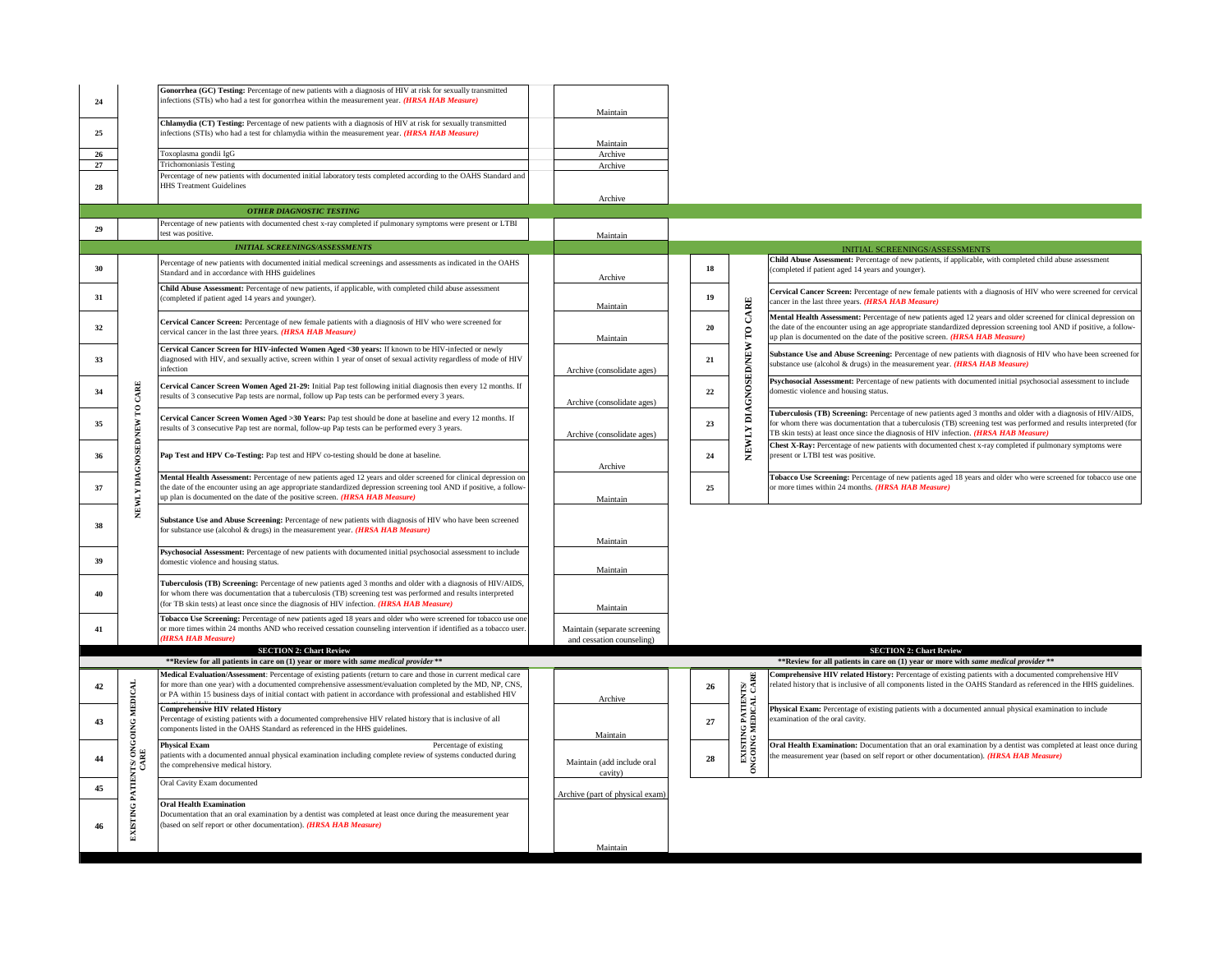| 24 |                                  | Gonorrhea (GC) Testing: Percentage of new patients with a diagnosis of HIV at risk for sexually transmitted<br>infections (STIs) who had a test for gonorrhea within the measurement year. (HRSA HAB Measure)                                                                                                                 |                                                           |    |                                |                                                                                                                                                                                                                                                                                                                          |
|----|----------------------------------|-------------------------------------------------------------------------------------------------------------------------------------------------------------------------------------------------------------------------------------------------------------------------------------------------------------------------------|-----------------------------------------------------------|----|--------------------------------|--------------------------------------------------------------------------------------------------------------------------------------------------------------------------------------------------------------------------------------------------------------------------------------------------------------------------|
|    |                                  | Chlamydia (CT) Testing: Percentage of new patients with a diagnosis of HIV at risk for sexually transmitted                                                                                                                                                                                                                   | Maintain                                                  |    |                                |                                                                                                                                                                                                                                                                                                                          |
| 25 |                                  | infections (STIs) who had a test for chlamydia within the measurement year. (HRSA HAB Measure)                                                                                                                                                                                                                                | Maintain                                                  |    |                                |                                                                                                                                                                                                                                                                                                                          |
| 26 |                                  | Toxoplasma gondii IgG                                                                                                                                                                                                                                                                                                         | Archive                                                   |    |                                |                                                                                                                                                                                                                                                                                                                          |
| 27 |                                  | <b>Trichomoniasis Testing</b>                                                                                                                                                                                                                                                                                                 | Archive                                                   |    |                                |                                                                                                                                                                                                                                                                                                                          |
| 28 |                                  | Percentage of new patients with documented initial laboratory tests completed according to the OAHS Standard and<br><b>HHS Treatment Guidelines</b>                                                                                                                                                                           |                                                           |    |                                |                                                                                                                                                                                                                                                                                                                          |
|    |                                  |                                                                                                                                                                                                                                                                                                                               | Archive                                                   |    |                                |                                                                                                                                                                                                                                                                                                                          |
|    |                                  | <b>OTHER DIAGNOSTIC TESTING</b>                                                                                                                                                                                                                                                                                               |                                                           |    |                                |                                                                                                                                                                                                                                                                                                                          |
| 29 |                                  | Percentage of new patients with documented chest x-ray completed if pulmonary symptoms were present or LTBI<br>test was positive.                                                                                                                                                                                             | Maintain                                                  |    |                                |                                                                                                                                                                                                                                                                                                                          |
|    |                                  | <b>INITIAL SCREENINGS/ASSESSMENTS</b>                                                                                                                                                                                                                                                                                         |                                                           |    |                                | <b>INITIAL SCREENINGS/ASSESSMENTS</b>                                                                                                                                                                                                                                                                                    |
| 30 |                                  | Percentage of new patients with documented initial medical screenings and assessments as indicated in the OAHS<br>Standard and in accordance with HHS guidelines                                                                                                                                                              | Archive                                                   | 18 |                                | Child Abuse Assessment: Percentage of new patients, if applicable, with completed child abuse assessment<br>(completed if patient aged 14 years and younger).                                                                                                                                                            |
| 31 |                                  | Child Abuse Assessment: Percentage of new patients, if applicable, with completed child abuse assessment<br>(completed if patient aged 14 years and younger).                                                                                                                                                                 |                                                           | 19 |                                | Cervical Cancer Screen: Percentage of new female patients with a diagnosis of HIV who were screened for cervical<br>cancer in the last three years. (HRSA HAB Measure)                                                                                                                                                   |
| 32 |                                  | Cervical Cancer Screen: Percentage of new female patients with a diagnosis of HIV who were screened for<br>cervical cancer in the last three years. (HRSA HAB Measure)                                                                                                                                                        | Maintain                                                  | 20 | CARE<br>S                      | Mental Health Assessment: Percentage of new patients aged 12 years and older screened for clinical depression on<br>the date of the encounter using an age appropriate standardized depression screening tool AND if positive, a follow-<br>up plan is documented on the date of the positive screen. (HRSA HAB Measure) |
| 33 |                                  | Cervical Cancer Screen for HIV-infected Women Aged <30 years: If known to be HIV-infected or newly<br>diagnosed with HIV, and sexually active, screen within 1 year of onset of sexual activity regardless of mode of HIV                                                                                                     | Maintain                                                  | 21 |                                | Substance Use and Abuse Screening: Percentage of new patients with diagnosis of HIV who have been screened for<br>substance use (alcohol & drugs) in the measurement year. (HRSA HAB Measure)                                                                                                                            |
|    |                                  | infection<br>Cervical Cancer Screen Women Aged 21-29: Initial Pap test following initial diagnosis then every 12 months. If                                                                                                                                                                                                   | Archive (consolidate ages)                                |    |                                | Psychosocial Assessment: Percentage of new patients with documented initial psychosocial assessment to include                                                                                                                                                                                                           |
| 34 | CARE<br>$\mathbf{c}$             | results of 3 consecutive Pap tests are normal, follow up Pap tests can be performed every 3 years.                                                                                                                                                                                                                            | Archive (consolidate ages)                                | 22 | <b>DIAGNOSED/NEW</b>           | domestic violence and housing status.<br>Tuberculosis (TB) Screening: Percentage of new patients aged 3 months and older with a diagnosis of HIV/AIDS,                                                                                                                                                                   |
| 35 |                                  | Cervical Cancer Screen Women Aged >30 Years: Pap test should be done at baseline and every 12 months. If<br>esults of 3 consecutive Pap test are normal, follow-up Pap tests can be performed every 3 years.                                                                                                                  | Archive (consolidate ages)                                | 23 |                                | for whom there was documentation that a tuberculosis (TB) screening test was performed and results interpreted (for<br>TB skin tests) at least once since the diagnosis of HIV infection. (HRSA HAB Measure)                                                                                                             |
| 36 | <b>DIAGNOSED/NEW</b>             | Pap Test and HPV Co-Testing: Pap test and HPV co-testing should be done at baseline.                                                                                                                                                                                                                                          | Archive                                                   | 24 | <b>NEWLY</b>                   | Chest X-Ray: Percentage of new patients with documented chest x-ray completed if pulmonary symptoms were<br>present or LTBI test was positive.                                                                                                                                                                           |
| 37 |                                  | Mental Health Assessment: Percentage of new patients aged 12 years and older screened for clinical depression on<br>the date of the encounter using an age appropriate standardized depression screening tool AND if positive, a follow-<br>up plan is documented on the date of the positive screen. (HRSA HAB Measure)      | Maintain                                                  | 25 |                                | Tobacco Use Screening: Percentage of new patients aged 18 years and older who were screened for tobacco use one<br>or more times within 24 months. (HRSA HAB Measure)                                                                                                                                                    |
| 38 | <b>NEWLY</b>                     | Substance Use and Abuse Screening: Percentage of new patients with diagnosis of HIV who have been screened<br>for substance use (alcohol & drugs) in the measurement year. (HRSA HAB Measure)                                                                                                                                 | Maintain                                                  |    |                                |                                                                                                                                                                                                                                                                                                                          |
| 39 |                                  | Psychosocial Assessment: Percentage of new patients with documented initial psychosocial assessment to include<br>domestic violence and housing status.                                                                                                                                                                       | Maintain                                                  |    |                                |                                                                                                                                                                                                                                                                                                                          |
|    |                                  |                                                                                                                                                                                                                                                                                                                               |                                                           |    |                                |                                                                                                                                                                                                                                                                                                                          |
| 40 |                                  | Tuberculosis (TB) Screening: Percentage of new patients aged 3 months and older with a diagnosis of HIV/AIDS,<br>for whom there was documentation that a tuberculosis (TB) screening test was performed and results interpreted<br>(for TB skin tests) at least once since the diagnosis of HIV infection. (HRSA HAB Measure) | Maintain                                                  |    |                                |                                                                                                                                                                                                                                                                                                                          |
| 41 |                                  | Tobacco Use Screening: Percentage of new patients aged 18 years and older who were screened for tobacco use one<br>or more times within 24 months AND who received cessation counseling intervention if identified as a tobacco user.<br><b>HRSA HAB Measure)</b>                                                             | Maintain (separate screening<br>and cessation counseling) |    |                                |                                                                                                                                                                                                                                                                                                                          |
|    |                                  | <b>SECTION 2: Chart Review</b>                                                                                                                                                                                                                                                                                                |                                                           |    |                                | <b>SECTION 2: Chart Review</b>                                                                                                                                                                                                                                                                                           |
|    |                                  | **Review for all patients in care on (1) year or more with same medical provider**                                                                                                                                                                                                                                            |                                                           |    |                                | ** Review for all patients in care on (1) year or more with same medical provider**                                                                                                                                                                                                                                      |
| 42 |                                  | Medical Evaluation/Assessment: Percentage of existing patients (return to care and those in current medical care<br>for more than one year) with a documented comprehensive assessment/evaluation completed by the MD, NP, CNS,                                                                                               |                                                           | 26 |                                | Comprehensive HIV related History: Percentage of existing patients with a documented comprehensive HIV<br>elated history that is inclusive of all components listed in the OAHS Standard as referenced in the HHS guidelines.                                                                                            |
|    |                                  | or PA within 15 business days of initial contact with patient in accordance with professional and established HIV<br>Comprehensive HIV related History<br>Percentage of existing patients with a documented comprehensive HIV related history that is inclusive of all                                                        | Archive                                                   |    | NG PATIENTS/<br>· MEDICAL CARE | Physical Exam: Percentage of existing patients with a documented annual physical examination to include<br>examination of the oral cavity.                                                                                                                                                                               |
| 43 |                                  | omponents listed in the OAHS Standard as referenced in the HHS guidelines.                                                                                                                                                                                                                                                    | Maintain                                                  | 27 | <b>EXISTING</b>                |                                                                                                                                                                                                                                                                                                                          |
| 44 | PATIENTS/ONGOING MEDICAL<br>CARE | <b>Physical Exam</b><br>Percentage of existing<br>atients with a documented annual physical examination including complete review of systems conducted during<br>the comprehensive medical history.                                                                                                                           | Maintain (add include oral<br>cavity)                     | 28 | <b>EOIN</b>                    | Oral Health Examination: Documentation that an oral examination by a dentist was completed at least once during<br>the measurement year (based on self report or other documentation). (HRSA HAB Measure)                                                                                                                |
| 45 |                                  | Oral Cavity Exam documented                                                                                                                                                                                                                                                                                                   | Archive (part of physical exam)                           |    |                                |                                                                                                                                                                                                                                                                                                                          |
| 46 | <b>EXISTING</b>                  | <b>Oral Health Examination</b><br>Documentation that an oral examination by a dentist was completed at least once during the measurement year<br>(based on self report or other documentation). (HRSA HAB Measure)                                                                                                            |                                                           |    |                                |                                                                                                                                                                                                                                                                                                                          |
|    |                                  |                                                                                                                                                                                                                                                                                                                               | Maintain                                                  |    |                                |                                                                                                                                                                                                                                                                                                                          |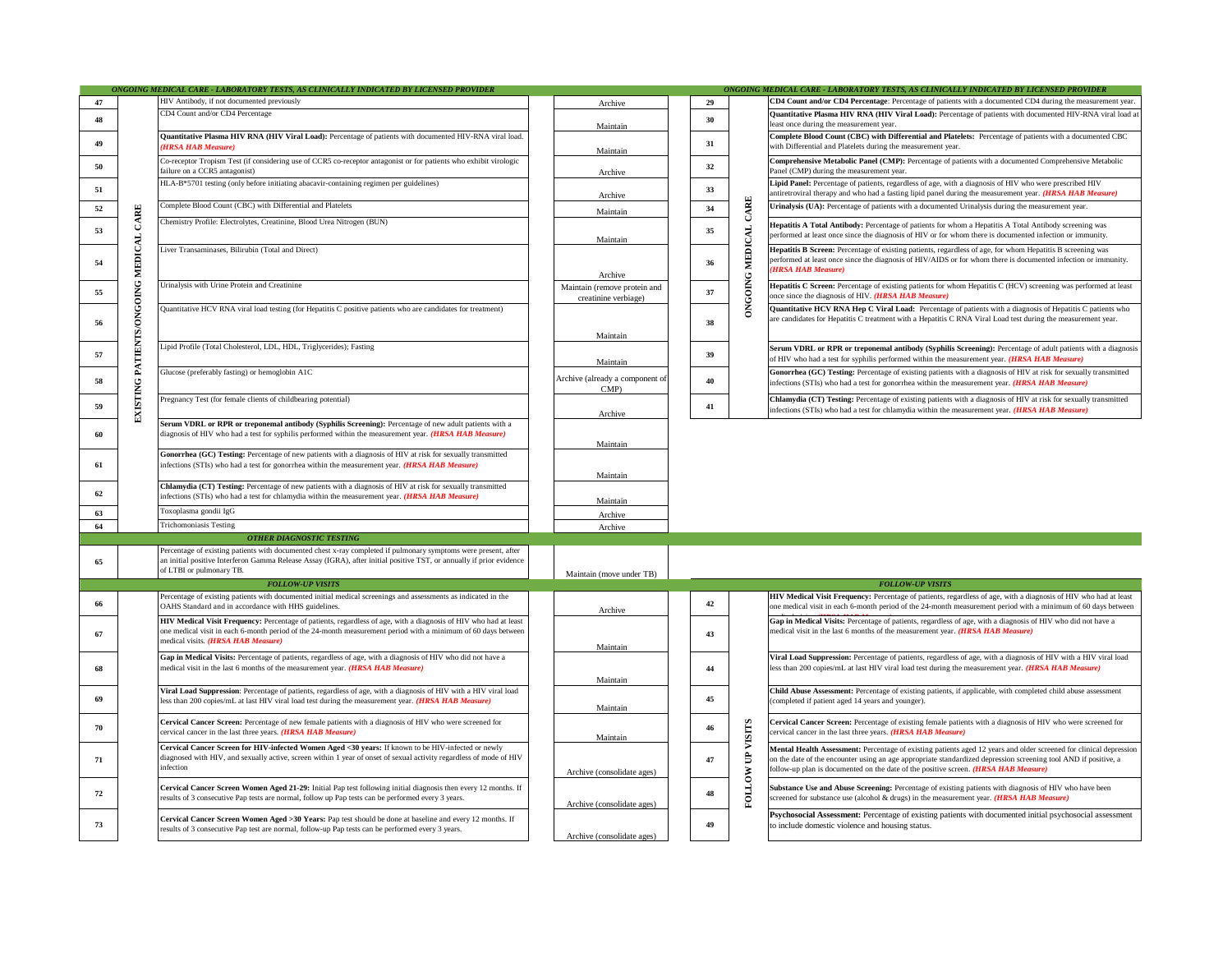|    |                                        | ONGOING MEDICAL CARE - LABORATORY TESTS, AS CLINICALLY INDICATED BY LICENSED PROVIDER                                                                                                                                                  |                                                      |    |                | ONGOING MEDICAL CARE - LABORATORY TESTS, AS CLINICALLY INDICATED BY LICENSED PROVIDER                                                                                                                                                                                                                                        |
|----|----------------------------------------|----------------------------------------------------------------------------------------------------------------------------------------------------------------------------------------------------------------------------------------|------------------------------------------------------|----|----------------|------------------------------------------------------------------------------------------------------------------------------------------------------------------------------------------------------------------------------------------------------------------------------------------------------------------------------|
| 47 |                                        | HIV Antibody, if not documented previously                                                                                                                                                                                             | Archive                                              | 29 |                | CD4 Count and/or CD4 Percentage: Percentage of patients with a documented CD4 during the measurement year.                                                                                                                                                                                                                   |
| 48 |                                        | CD4 Count and/or CD4 Percentage                                                                                                                                                                                                        |                                                      | 30 |                | Quantitative Plasma HIV RNA (HIV Viral Load): Percentage of patients with documented HIV-RNA viral load at<br>east once during the measurement year.                                                                                                                                                                         |
|    |                                        | Ouantitative Plasma HIV RNA (HIV Viral Load): Percentage of patients with documented HIV-RNA viral load.                                                                                                                               | Maintain                                             |    |                | Complete Blood Count (CBC) with Differential and Platelets: Percentage of patients with a documented CBC                                                                                                                                                                                                                     |
| 49 |                                        | (HRSA HAB Measure)                                                                                                                                                                                                                     | Maintain                                             | 31 |                | with Differential and Platelets during the measurement year.                                                                                                                                                                                                                                                                 |
| 50 |                                        | Co-receptor Tropism Test (if considering use of CCR5 co-receptor antagonist or for patients who exhibit virologic<br>failure on a CCR5 antagonist)                                                                                     | Archive                                              | 32 |                | Comprehensive Metabolic Panel (CMP): Percentage of patients with a documented Comprehensive Metabolic<br>Panel (CMP) during the measurement year.                                                                                                                                                                            |
| 51 |                                        | HLA-B*5701 testing (only before initiating abacavir-containing regimen per guidelines)                                                                                                                                                 |                                                      | 33 |                | Lipid Panel: Percentage of patients, regardless of age, with a diagnosis of HIV who were prescribed HIV                                                                                                                                                                                                                      |
| 52 |                                        | Complete Blood Count (CBC) with Differential and Platelets                                                                                                                                                                             | Archive                                              | 34 | CARE           | ntiretroviral therapy and who had a fasting lipid panel during the measurement year. (HRSA HAB Measure)<br>Urinalysis (UA): Percentage of patients with a documented Urinalysis during the measurement year.                                                                                                                 |
|    |                                        | Chemistry Profile: Electrolytes, Creatinine, Blood Urea Nitrogen (BUN)                                                                                                                                                                 | Maintain                                             |    |                | Hepatitis A Total Antibody: Percentage of patients for whom a Hepatitis A Total Antibody screening was                                                                                                                                                                                                                       |
| 53 |                                        |                                                                                                                                                                                                                                        | Maintain                                             | 35 |                | berformed at least once since the diagnosis of HIV or for whom there is documented infection or immunity.                                                                                                                                                                                                                    |
| 54 |                                        | Liver Transaminases, Bilirubin (Total and Direct)                                                                                                                                                                                      | Archive                                              | 36 | MEDICAL        | Hepatitis B Screen: Percentage of existing patients, regardless of age, for whom Hepatitis B screening was<br>performed at least once since the diagnosis of HIV/AIDS or for whom there is documented infection or immunity.<br><b>HRSA HAB Measure</b>                                                                      |
| 55 |                                        | Urinalysis with Urine Protein and Creatinine                                                                                                                                                                                           | Maintain (remove protein and<br>creatinine verbiage) | 37 | <b>ONGOING</b> | Hepatitis C Screen: Percentage of existing patients for whom Hepatitis C (HCV) screening was performed at least<br>once since the diagnosis of HIV. (HRSA HAB Measure)                                                                                                                                                       |
| 56 | EXISTING PATIENTS/ONGOING MEDICAL CARE | Quantitative HCV RNA viral load testing (for Hepatitis C positive patients who are candidates for treatment)                                                                                                                           | Maintain                                             | 38 |                | Quantitative HCV RNA Hep C Viral Load: Percentage of patients with a diagnosis of Hepatitis C patients who<br>are candidates for Hepatitis C treatment with a Hepatitis C RNA Viral Load test during the measurement year.                                                                                                   |
| 57 |                                        | Lipid Profile (Total Cholesterol, LDL, HDL, Triglycerides); Fasting                                                                                                                                                                    | Maintain                                             | 39 |                | Serum VDRL or RPR or treponemal antibody (Syphilis Screening): Percentage of adult patients with a diagnosis<br>of HIV who had a test for syphilis performed within the measurement year. (HRSA HAB Measure)                                                                                                                 |
| 58 |                                        | Glucose (preferably fasting) or hemoglobin A1C                                                                                                                                                                                         | Archive (already a component o<br>CMP                | 40 |                | Gonorrhea (GC) Testing: Percentage of existing patients with a diagnosis of HIV at risk for sexually transmitted<br>infections (STIs) who had a test for gonorrhea within the measurement year. (HRSA HAB Measure)                                                                                                           |
| 59 |                                        | Pregnancy Test (for female clients of childbearing potential)                                                                                                                                                                          | Archive                                              | 41 |                | Chlamydia (CT) Testing: Percentage of existing patients with a diagnosis of HIV at risk for sexually transmitted<br>infections (STIs) who had a test for chlamydia within the measurement year. (HRSA HAB Measure)                                                                                                           |
| 60 |                                        | Serum VDRL or RPR or treponemal antibody (Syphilis Screening): Percentage of new adult patients with a<br>diagnosis of HIV who had a test for syphilis performed within the measurement year. (HRSA HAB Measure)                       | Maintain                                             |    |                |                                                                                                                                                                                                                                                                                                                              |
| 61 |                                        | Gonorrhea (GC) Testing: Percentage of new patients with a diagnosis of HIV at risk for sexually transmitted<br>infections (STIs) who had a test for gonorrhea within the measurement year. (HRSA HAB Measure)                          | Maintain                                             |    |                |                                                                                                                                                                                                                                                                                                                              |
| 62 |                                        | Chlamydia (CT) Testing: Percentage of new patients with a diagnosis of HIV at risk for sexually transmitted<br>infections (STIs) who had a test for chlamydia within the measurement year. (HRSA HAB Measure)                          | Maintain                                             |    |                |                                                                                                                                                                                                                                                                                                                              |
| 63 |                                        | Toxoplasma gondii IgG<br><b>Trichomoniasis Testing</b>                                                                                                                                                                                 | Archive                                              |    |                |                                                                                                                                                                                                                                                                                                                              |
| 64 |                                        |                                                                                                                                                                                                                                        | Archive                                              |    |                |                                                                                                                                                                                                                                                                                                                              |
|    |                                        | <b>OTHER DIAGNOSTIC TESTING</b><br>Percentage of existing patients with documented chest x-ray completed if pulmonary symptoms were present, after                                                                                     |                                                      |    |                |                                                                                                                                                                                                                                                                                                                              |
| 65 |                                        | an initial positive Interferon Gamma Release Assay (IGRA), after initial positive TST, or annually if prior evidence<br>of LTBI or pulmonary TB.                                                                                       | Maintain (move under TB)                             |    |                |                                                                                                                                                                                                                                                                                                                              |
|    |                                        | <b>FOLLOW-UP VISITS</b>                                                                                                                                                                                                                |                                                      |    |                | <b>FOLLOW-UP VISITS</b>                                                                                                                                                                                                                                                                                                      |
| 66 |                                        | Percentage of existing patients with documented initial medical screenings and assessments as indicated in the<br>OAHS Standard and in accordance with HHS guidelines.                                                                 |                                                      | 42 |                | HIV Medical Visit Frequency: Percentage of patients, regardless of age, with a diagnosis of HIV who had at least<br>one medical visit in each 6-month period of the 24-month measurement period with a minimum of 60 days between                                                                                            |
|    |                                        | HIV Medical Visit Frequency: Percentage of patients, regardless of age, with a diagnosis of HIV who had at least                                                                                                                       | Archive                                              |    |                | Gap in Medical Visits: Percentage of patients, regardless of age, with a diagnosis of HIV who did not have a                                                                                                                                                                                                                 |
| 67 |                                        | one medical visit in each 6-month period of the 24-month measurement period with a minimum of 60 days between<br>medical visits. (HRSA HAB Measure)                                                                                    | Maintain                                             | 43 |                | medical visit in the last 6 months of the measurement year. (HRSA HAB Measure)                                                                                                                                                                                                                                               |
| 68 |                                        | Gap in Medical Visits: Percentage of patients, regardless of age, with a diagnosis of HIV who did not have a<br>medical visit in the last 6 months of the measurement year. (HRSA HAB Measure)                                         | Maintain                                             | 44 |                | Viral Load Suppression: Percentage of patients, regardless of age, with a diagnosis of HIV with a HIV viral load<br>less than 200 copies/mL at last HIV viral load test during the measurement year. (HRSA HAB Measure)                                                                                                      |
| 69 |                                        | Viral Load Suppression: Percentage of patients, regardless of age, with a diagnosis of HIV with a HIV viral load<br>less than 200 copies/mL at last HIV viral load test during the measurement year. (HRSA HAB Measure)                | Maintain                                             | 45 |                | Child Abuse Assessment: Percentage of existing patients, if applicable, with completed child abuse assessment<br>completed if patient aged 14 years and younger).                                                                                                                                                            |
| 70 |                                        | Cervical Cancer Screen: Percentage of new female patients with a diagnosis of HIV who were screened for<br>cervical cancer in the last three years. (HRSA HAB Measure)                                                                 | Maintain                                             | 46 | VISITS         | Cervical Cancer Screen: Percentage of existing female patients with a diagnosis of HIV who were screened for<br>cervical cancer in the last three years. (HRSA HAB Measure)                                                                                                                                                  |
| 71 |                                        | Cervical Cancer Screen for HIV-infected Women Aged <30 years: If known to be HIV-infected or newly<br>diagnosed with HIV, and sexually active, screen within 1 year of onset of sexual activity regardless of mode of HIV<br>infection | Archive (consolidate ages)                           | 47 | ₿              | Mental Health Assessment: Percentage of existing patients aged 12 years and older screened for clinical depression<br>on the date of the encounter using an age appropriate standardized depression screening tool AND if positive, a<br>follow-up plan is documented on the date of the positive screen. (HRSA HAB Measure) |
| 72 |                                        | Cervical Cancer Screen Women Aged 21-29: Initial Pap test following initial diagnosis then every 12 months. If<br>esults of 3 consecutive Pap tests are normal, follow up Pap tests can be performed every 3 years.                    | Archive (consolidate ages)                           | 48 | <b>FOLLOW</b>  | Substance Use and Abuse Screening: Percentage of existing patients with diagnosis of HIV who have been<br>creened for substance use (alcohol & drugs) in the measurement year. (HRSA HAB Measure)                                                                                                                            |
| 73 |                                        | Cervical Cancer Screen Women Aged >30 Years: Pap test should be done at baseline and every 12 months. If<br>results of 3 consecutive Pap test are normal, follow-up Pap tests can be performed every 3 years.                          | Archive (consolidate ages)                           | 49 |                | Psychosocial Assessment: Percentage of existing patients with documented initial psychosocial assessment<br>to include domestic violence and housing status.                                                                                                                                                                 |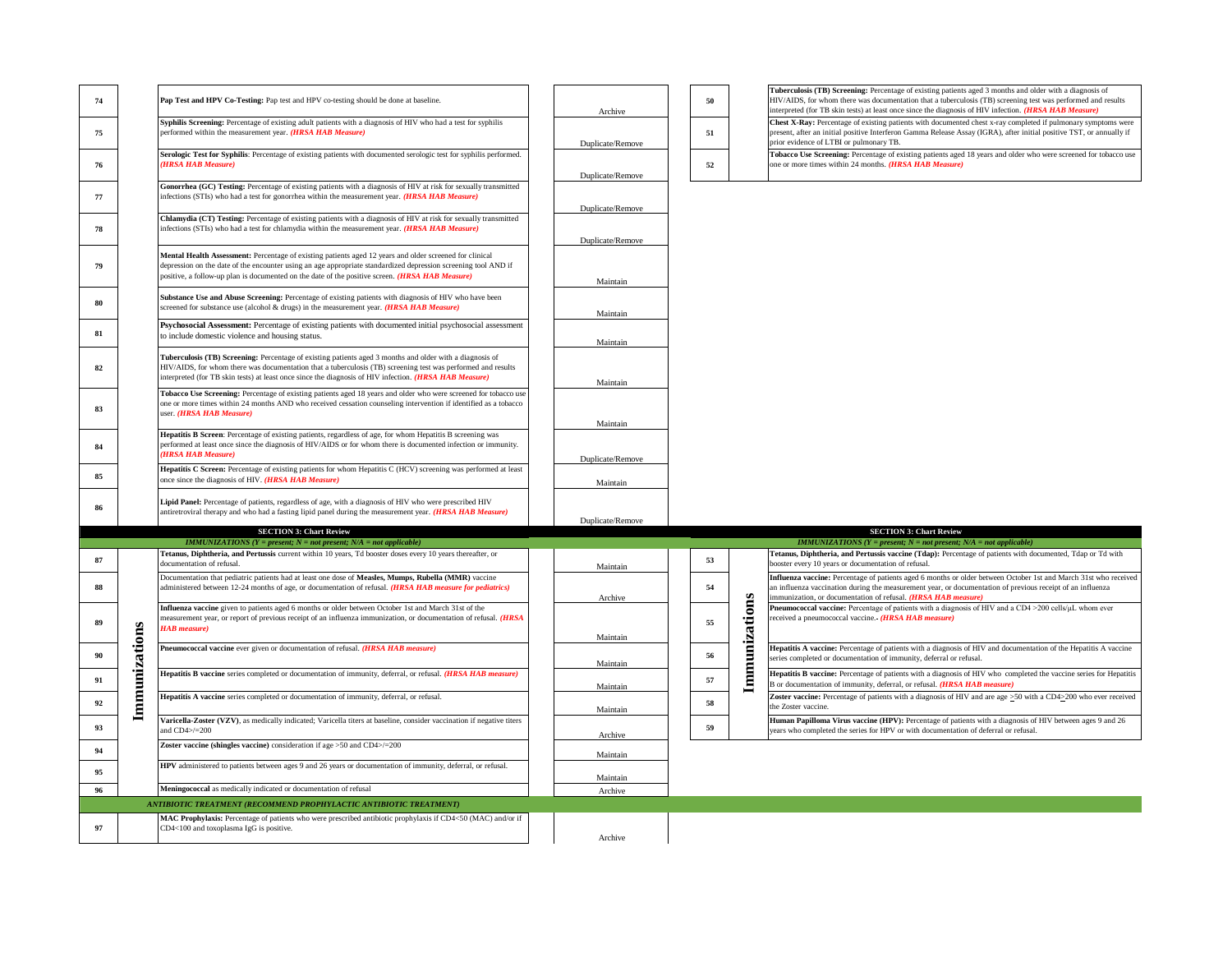| 74 |               | Pap Test and HPV Co-Testing: Pap test and HPV co-testing should be done at baseline.                                                                                                                                                                                                                                               | Archive          | 50 |              | Tuberculosis (TB) Screening: Percentage of existing patients aged 3 months and older with a diagnosis of<br>HIV/AIDS, for whom there was documentation that a tuberculosis (TB) screening test was performed and results<br>interpreted (for TB skin tests) at least once since the diagnosis of HIV infection. (HRSA HAB Measure) |
|----|---------------|------------------------------------------------------------------------------------------------------------------------------------------------------------------------------------------------------------------------------------------------------------------------------------------------------------------------------------|------------------|----|--------------|------------------------------------------------------------------------------------------------------------------------------------------------------------------------------------------------------------------------------------------------------------------------------------------------------------------------------------|
| 75 |               | Syphilis Screening: Percentage of existing adult patients with a diagnosis of HIV who had a test for syphilis<br>performed within the measurement year. (HRSA HAB Measure)                                                                                                                                                         | Duplicate/Remove | 51 |              | Chest X-Ray: Percentage of existing patients with documented chest x-ray completed if pulmonary symptoms were<br>present, after an initial positive Interferon Gamma Release Assay (IGRA), after initial positive TST, or annually if<br>prior evidence of LTBI or pulmonary TB.                                                   |
|    |               | Serologic Test for Syphilis: Percentage of existing patients with documented serologic test for syphilis performed.                                                                                                                                                                                                                |                  |    |              | Tobacco Use Screening: Percentage of existing patients aged 18 years and older who were screened for tobacco use                                                                                                                                                                                                                   |
| 76 |               | <b>HRSA HAB Measure)</b>                                                                                                                                                                                                                                                                                                           | Duplicate/Remove | 52 |              | one or more times within 24 months. (HRSA HAB Measure)                                                                                                                                                                                                                                                                             |
| 77 |               | Gonorrhea (GC) Testing: Percentage of existing patients with a diagnosis of HIV at risk for sexually transmitted<br>infections (STIs) who had a test for gonorrhea within the measurement year. (HRSA HAB Measure)                                                                                                                 | Duplicate/Remove |    |              |                                                                                                                                                                                                                                                                                                                                    |
| 78 |               | Chlamydia (CT) Testing: Percentage of existing patients with a diagnosis of HIV at risk for sexually transmitted<br>infections (STIs) who had a test for chlamydia within the measurement year. (HRSA HAB Measure)                                                                                                                 | Duplicate/Remove |    |              |                                                                                                                                                                                                                                                                                                                                    |
| 79 |               | Mental Health Assessment: Percentage of existing patients aged 12 years and older screened for clinical<br>depression on the date of the encounter using an age appropriate standardized depression screening tool AND if<br>positive, a follow-up plan is documented on the date of the positive screen. (HRSA HAB Measure)       | Maintain         |    |              |                                                                                                                                                                                                                                                                                                                                    |
| 80 |               | Substance Use and Abuse Screening: Percentage of existing patients with diagnosis of HIV who have been<br>screened for substance use (alcohol & drugs) in the measurement year. (HRSA HAB Measure)                                                                                                                                 | Maintain         |    |              |                                                                                                                                                                                                                                                                                                                                    |
| 81 |               | Psychosocial Assessment: Percentage of existing patients with documented initial psychosocial assessment<br>to include domestic violence and housing status.                                                                                                                                                                       | Maintain         |    |              |                                                                                                                                                                                                                                                                                                                                    |
| 82 |               | Tuberculosis (TB) Screening: Percentage of existing patients aged 3 months and older with a diagnosis of<br>HIV/AIDS, for whom there was documentation that a tuberculosis (TB) screening test was performed and results<br>interpreted (for TB skin tests) at least once since the diagnosis of HIV infection. (HRSA HAB Measure) | Maintain         |    |              |                                                                                                                                                                                                                                                                                                                                    |
| 83 |               | Tobacco Use Screening: Percentage of existing patients aged 18 years and older who were screened for tobacco use<br>one or more times within 24 months AND who received cessation counseling intervention if identified as a tobacco<br>user. (HRSA HAB Measure)                                                                   |                  |    |              |                                                                                                                                                                                                                                                                                                                                    |
|    |               | Hepatitis B Screen: Percentage of existing patients, regardless of age, for whom Hepatitis B screening was                                                                                                                                                                                                                         | Maintain         |    |              |                                                                                                                                                                                                                                                                                                                                    |
| 84 |               | performed at least once since the diagnosis of HIV/AIDS or for whom there is documented infection or immunity.<br>( <b>HRSA HAB Measure</b> )                                                                                                                                                                                      | Duplicate/Remove |    |              |                                                                                                                                                                                                                                                                                                                                    |
| 85 |               | Hepatitis C Screen: Percentage of existing patients for whom Hepatitis C (HCV) screening was performed at least<br>once since the diagnosis of HIV. (HRSA HAB Measure)                                                                                                                                                             | Maintain         |    |              |                                                                                                                                                                                                                                                                                                                                    |
| 86 |               | Lipid Panel: Percentage of patients, regardless of age, with a diagnosis of HIV who were prescribed HIV<br>intiretroviral therapy and who had a fasting lipid panel during the measurement year. (HRSA HAB Measure)                                                                                                                | Duplicate/Remove |    |              |                                                                                                                                                                                                                                                                                                                                    |
|    |               | <b>SECTION 3: Chart Review</b>                                                                                                                                                                                                                                                                                                     |                  |    |              | <b>SECTION 3: Chart Review</b>                                                                                                                                                                                                                                                                                                     |
|    |               | <b>IMMUNIZATIONS</b> ( $Y = present$ ; $N = not present$ ; $N/A = not applicable$ )                                                                                                                                                                                                                                                |                  |    |              | <b>IMMUNIZATIONS</b> ( $Y = present$ ; $N = not present$ ; $N/A = not applicable$ )                                                                                                                                                                                                                                                |
|    |               | Tetanus, Diphtheria, and Pertussis current within 10 years, Td booster doses every 10 years thereafter, or                                                                                                                                                                                                                         |                  |    |              | Tetanus, Diphtheria, and Pertussis vaccine (Tdap): Percentage of patients with documented, Tdap or Td with                                                                                                                                                                                                                         |
| 87 |               | documentation of refusal                                                                                                                                                                                                                                                                                                           | Maintain         | 53 |              | booster every 10 years or documentation of refusal.                                                                                                                                                                                                                                                                                |
|    |               | Documentation that pediatric patients had at least one dose of Measles, Mumps, Rubella (MMR) vaccine                                                                                                                                                                                                                               |                  |    |              | Influenza vaccine: Percentage of patients aged 6 months or older between October 1st and March 31st who received                                                                                                                                                                                                                   |
| 88 |               | administered between 12-24 months of age, or documentation of refusal. (HRSA HAB measure for pediatrics)                                                                                                                                                                                                                           |                  | 54 |              | an influenza vaccination during the measurement year, or documentation of previous receipt of an influenza                                                                                                                                                                                                                         |
|    |               | Influenza vaccine given to patients aged 6 months or older between October 1st and March 31st of the                                                                                                                                                                                                                               | Archive          |    |              | immunization, or documentation of refusal. (HRSA HAB measure)<br>Pneumococcal vaccine: Percentage of patients with a diagnosis of HIV and a CD4 >200 cells/µL whom ever                                                                                                                                                            |
| 89 |               | neasurement year, or report of previous receipt of an influenza immunization, or documentation of refusal. (HRSA<br><b>HAB</b> measure)                                                                                                                                                                                            |                  | 55 | mmunizations | received a pneumococcal vaccine. (HRSA HAB measure)                                                                                                                                                                                                                                                                                |
|    |               | Pneumococcal vaccine ever given or documentation of refusal. (HRSA HAB measure)                                                                                                                                                                                                                                                    | Maintain         |    |              | Hepatitis A vaccine: Percentage of patients with a diagnosis of HIV and documentation of the Hepatitis A vaccine                                                                                                                                                                                                                   |
| 90 |               | Hepatitis B vaccine series completed or documentation of immunity, deferral, or refusal. (HRSA HAB measure)                                                                                                                                                                                                                        | Maintain         | 56 |              | series completed or documentation of immunity, deferral or refusal.<br>Hepatitis B vaccine: Percentage of patients with a diagnosis of HIV who completed the vaccine series for Hepatitis                                                                                                                                          |
| 91 |               |                                                                                                                                                                                                                                                                                                                                    | Maintain         | 57 |              | B or documentation of immunity, deferral, or refusal. (HRSA HAB measure)                                                                                                                                                                                                                                                           |
| 92 | Immunizations | Hepatitis A vaccine series completed or documentation of immunity, deferral, or refusal.                                                                                                                                                                                                                                           | Maintain         | 58 |              | Zoster vaccine: Percentage of patients with a diagnosis of HIV and are age $\geq$ 50 with a CD4 $\geq$ 200 who ever received<br>the Zoster vaccine.                                                                                                                                                                                |
| 93 |               | Varicella-Zoster (VZV), as medically indicated; Varicella titers at baseline, consider vaccination if negative titers<br>and $CD4\text{>}/\text{=}200$                                                                                                                                                                             | Archive          | 59 |              | Human Papilloma Virus vaccine (HPV): Percentage of patients with a diagnosis of HIV between ages 9 and 26<br>years who completed the series for HPV or with documentation of deferral or refusal.                                                                                                                                  |
| 94 |               | Zoster vaccine (shingles vaccine) consideration if age >50 and CD4>/=200                                                                                                                                                                                                                                                           | Maintain         |    |              |                                                                                                                                                                                                                                                                                                                                    |
| 95 |               | HPV administered to patients between ages 9 and 26 years or documentation of immunity, deferral, or refusal.                                                                                                                                                                                                                       | Maintain         |    |              |                                                                                                                                                                                                                                                                                                                                    |
| 96 |               | Meningococcal as medically indicated or documentation of refusal                                                                                                                                                                                                                                                                   | Archive          |    |              |                                                                                                                                                                                                                                                                                                                                    |
|    |               | ANTIBIOTIC TREATMENT (RECOMMEND PROPHYLACTIC ANTIBIOTIC TREATMENT)                                                                                                                                                                                                                                                                 |                  |    |              |                                                                                                                                                                                                                                                                                                                                    |
|    |               | MAC Prophylaxis: Percentage of patients who were prescribed antibiotic prophylaxis if CD4<50 (MAC) and/or if                                                                                                                                                                                                                       |                  |    |              |                                                                                                                                                                                                                                                                                                                                    |
| 97 |               | CD4<100 and toxoplasma IgG is positive.                                                                                                                                                                                                                                                                                            | Archive          |    |              |                                                                                                                                                                                                                                                                                                                                    |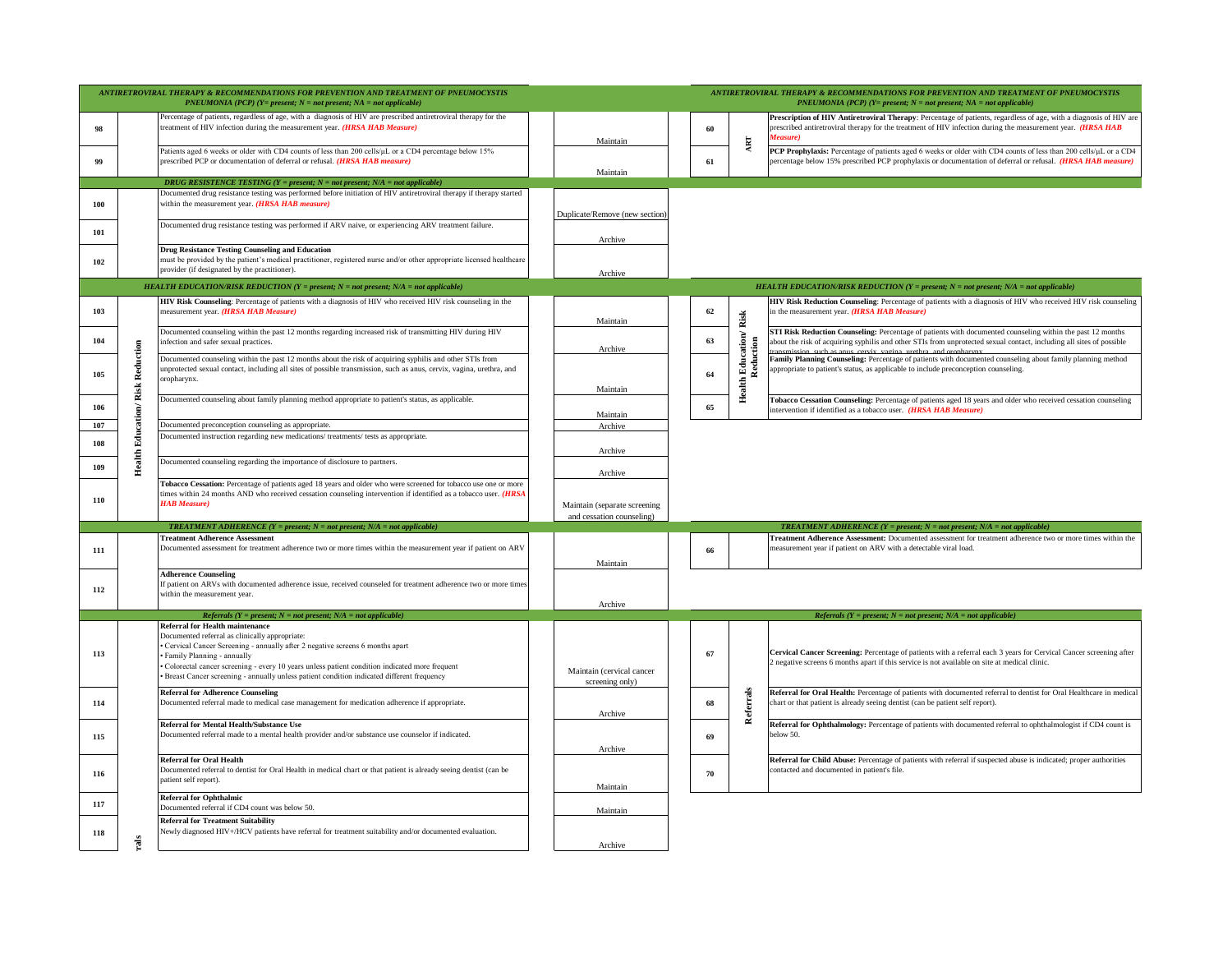|     |                                         | ANTIRETROVIRAL THERAPY & RECOMMENDATIONS FOR PREVENTION AND TREATMENT OF PNEUMOCYSTIS<br>PNEUMONIA (PCP) (Y= present; $N = not$ present; $NA = not$ applicable)                                                                                               |                                                           |    |                                      | ANTIRETROVIRAL THERAPY & RECOMMENDATIONS FOR PREVENTION AND TREATMENT OF PNEUMOCYSTIS<br>PNEUMONIA (PCP) (Y= present; $N = not$ present; NA = not applicable)                                                                                                                                            |
|-----|-----------------------------------------|---------------------------------------------------------------------------------------------------------------------------------------------------------------------------------------------------------------------------------------------------------------|-----------------------------------------------------------|----|--------------------------------------|----------------------------------------------------------------------------------------------------------------------------------------------------------------------------------------------------------------------------------------------------------------------------------------------------------|
| 98  |                                         | Percentage of patients, regardless of age, with a diagnosis of HIV are prescribed antiretroviral therapy for the<br>treatment of HIV infection during the measurement year. (HRSA HAB Measure)                                                                | Maintain                                                  | 60 | ART                                  | Prescription of HIV Antiretroviral Therapy: Percentage of patients, regardless of age, with a diagnosis of HIV are<br>prescribed antiretroviral therapy for the treatment of HIV infection during the measurement year. (HRSA HAB<br>Measure)                                                            |
| 99  |                                         | Patients aged 6 weeks or older with CD4 counts of less than 200 cells/µL or a CD4 percentage below 15%<br>prescribed PCP or documentation of deferral or refusal. (HRSA HAB measure)                                                                          | Maintain                                                  | 61 |                                      | PCP Prophylaxis: Percentage of patients aged 6 weeks or older with CD4 counts of less than 200 cells/µL or a CD4<br>percentage below 15% prescribed PCP prophylaxis or documentation of deferral or refusal. (HRSA HAB measure)                                                                          |
|     |                                         | DRUG RESISTENCE TESTING ( $Y = present$ ; $N = not present$ ; $N/A = not applicable$ )                                                                                                                                                                        |                                                           |    |                                      |                                                                                                                                                                                                                                                                                                          |
| 100 |                                         | Documented drug resistance testing was performed before initiation of HIV antiretroviral therapy if therapy started<br>within the measurement year. (HRSA HAB measure)                                                                                        | Duplicate/Remove (new section)                            |    |                                      |                                                                                                                                                                                                                                                                                                          |
| 101 |                                         | Documented drug resistance testing was performed if ARV naive, or experiencing ARV treatment failure.                                                                                                                                                         | Archive                                                   |    |                                      |                                                                                                                                                                                                                                                                                                          |
| 102 |                                         | <b>Drug Resistance Testing Counseling and Education</b><br>must be provided by the patient's medical practitioner, registered nurse and/or other appropriate licensed healthcare<br>provider (if designated by the practitioner).                             | Archive                                                   |    |                                      |                                                                                                                                                                                                                                                                                                          |
|     |                                         | <b>HEALTH EDUCATION/RISK REDUCTION (Y = present; N = not present; N/A = not applicable)</b>                                                                                                                                                                   |                                                           |    |                                      | <b>HEALTH EDUCATION/RISK REDUCTION (Y = present; N = not present; N/A = not applicable)</b>                                                                                                                                                                                                              |
|     |                                         | HIV Risk Counseling: Percentage of patients with a diagnosis of HIV who received HIV risk counseling in the                                                                                                                                                   |                                                           |    |                                      | HIV Risk Reduction Counseling: Percentage of patients with a diagnosis of HIV who received HIV risk counseling                                                                                                                                                                                           |
| 103 |                                         | measurement year. (HRSA HAB Measure)                                                                                                                                                                                                                          | Maintain                                                  | 62 | Risk                                 | in the measurement year. (HRSA HAB Measure)                                                                                                                                                                                                                                                              |
| 104 |                                         | Documented counseling within the past 12 months regarding increased risk of transmitting HIV during HIV<br>infection and safer sexual practices.                                                                                                              | Archive                                                   | 63 | $\mathbf{ion}^{\prime}$              | STI Risk Reduction Counseling: Percentage of patients with documented counseling within the past 12 months<br>about the risk of acquiring syphilis and other STIs from unprotected sexual contact, including all sites of possible<br>cansmission, such as anus, cervix, vagina, urethra, and oronharvnx |
| 105 | <b>Health Education/ Risk Reduction</b> | Documented counseling within the past 12 months about the risk of acquiring syphilis and other STIs from<br>unprotected sexual contact, including all sites of possible transmission, such as anus, cervix, vagina, urethra, and<br>propharynx.               | Maintain                                                  | 64 | Reduction<br>Educat<br><b>Health</b> | Family Planning Counseling: Percentage of patients with documented counseling about family planning method<br>appropriate to patient's status, as applicable to include preconception counseling.                                                                                                        |
| 106 |                                         | Documented counseling about family planning method appropriate to patient's status, as applicable.                                                                                                                                                            | Maintain                                                  | 65 |                                      | Tobacco Cessation Counseling: Percentage of patients aged 18 years and older who received cessation counseling<br>intervention if identified as a tobacco user. (HRSA HAB Measure)                                                                                                                       |
| 107 |                                         | Documented preconception counseling as appropriate.                                                                                                                                                                                                           | Archive                                                   |    |                                      |                                                                                                                                                                                                                                                                                                          |
| 108 |                                         | Documented instruction regarding new medications/treatments/tests as appropriate.                                                                                                                                                                             | Archive                                                   |    |                                      |                                                                                                                                                                                                                                                                                                          |
| 109 |                                         | Documented counseling regarding the importance of disclosure to partners.                                                                                                                                                                                     | Archive                                                   |    |                                      |                                                                                                                                                                                                                                                                                                          |
| 110 |                                         | Tobacco Cessation: Percentage of patients aged 18 years and older who were screened for tobacco use one or more<br>imes within 24 months AND who received cessation counseling intervention if identified as a tobacco user. (HRSA<br><b>HAB Measure)</b>     | Maintain (separate screening<br>and cessation counseling) |    |                                      |                                                                                                                                                                                                                                                                                                          |
|     |                                         | <b>TREATMENT ADHERENCE</b> ( $Y = present$ ; $N = not present$ ; $N/A = not applicable$ )                                                                                                                                                                     |                                                           |    |                                      | <b>TREATMENT ADHERENCE</b> ( $Y = present$ ; $N = not present$ ; $N/A = not applicable$ )                                                                                                                                                                                                                |
| 111 |                                         | <b>Treatment Adherence Assessment</b><br>Documented assessment for treatment adherence two or more times within the measurement year if patient on ARV                                                                                                        |                                                           | 66 |                                      | Treatment Adherence Assessment: Documented assessment for treatment adherence two or more times within the<br>measurement year if patient on ARV with a detectable viral load.                                                                                                                           |
|     |                                         | <b>Adherence Counseling</b>                                                                                                                                                                                                                                   | Maintain                                                  |    |                                      |                                                                                                                                                                                                                                                                                                          |
| 112 |                                         | If patient on ARVs with documented adherence issue, received counseled for treatment adherence two or more times<br>within the measurement year.                                                                                                              | Archive                                                   |    |                                      |                                                                                                                                                                                                                                                                                                          |
|     |                                         | Referrals (Y = present; $N = not$ present; $N/A = not$ applicable)                                                                                                                                                                                            |                                                           |    |                                      | Referrals ( $Y = present$ ; $N = not present$ ; $N/A = not applicable$ )                                                                                                                                                                                                                                 |
|     |                                         | <b>Referral for Health maintenance</b>                                                                                                                                                                                                                        |                                                           |    |                                      |                                                                                                                                                                                                                                                                                                          |
| 113 |                                         | Documented referral as clinically appropriate:<br>Cervical Cancer Screening - annually after 2 negative screens 6 months apart<br>Family Planning - annually<br>Colorectal cancer screening - every 10 years unless patient condition indicated more frequent |                                                           | 67 |                                      | Cervical Cancer Screening: Percentage of patients with a referral each 3 years for Cervical Cancer screening after<br>2 negative screens 6 months apart if this service is not available on site at medical clinic.                                                                                      |
|     |                                         | Breast Cancer screening - annually unless patient condition indicated different frequency                                                                                                                                                                     | Maintain (cervical cancer                                 |    |                                      |                                                                                                                                                                                                                                                                                                          |
| 114 |                                         | <b>Referral for Adherence Counseling</b><br>Documented referral made to medical case management for medication adherence if appropriate.                                                                                                                      | screening only)                                           | 68 |                                      | Referral for Oral Health: Percentage of patients with documented referral to dentist for Oral Healthcare in medical<br>chart or that patient is already seeing dentist (can be patient self report).                                                                                                     |
| 115 |                                         | Referral for Mental Health/Substance Use<br>Documented referral made to a mental health provider and/or substance use counselor if indicated.                                                                                                                 | Archive<br>Archive                                        | 69 | Referrals                            | Referral for Ophthalmology: Percentage of patients with documented referral to ophthalmologist if CD4 count is<br>below 50.                                                                                                                                                                              |
| 116 |                                         | <b>Referral for Oral Health</b><br>Documented referral to dentist for Oral Health in medical chart or that patient is already seeing dentist (can be<br>patient self report).                                                                                 | Maintain                                                  | 70 |                                      | Referral for Child Abuse: Percentage of patients with referral if suspected abuse is indicated; proper authorities<br>contacted and documented in patient's file.                                                                                                                                        |
| 117 |                                         | <b>Referral for Ophthalmic</b><br>Documented referral if CD4 count was below 50.                                                                                                                                                                              | Maintain                                                  |    |                                      |                                                                                                                                                                                                                                                                                                          |
| 118 | rals                                    | <b>Referral for Treatment Suitability</b><br>Newly diagnosed HIV+/HCV patients have referral for treatment suitability and/or documented evaluation.                                                                                                          | Archive                                                   |    |                                      |                                                                                                                                                                                                                                                                                                          |